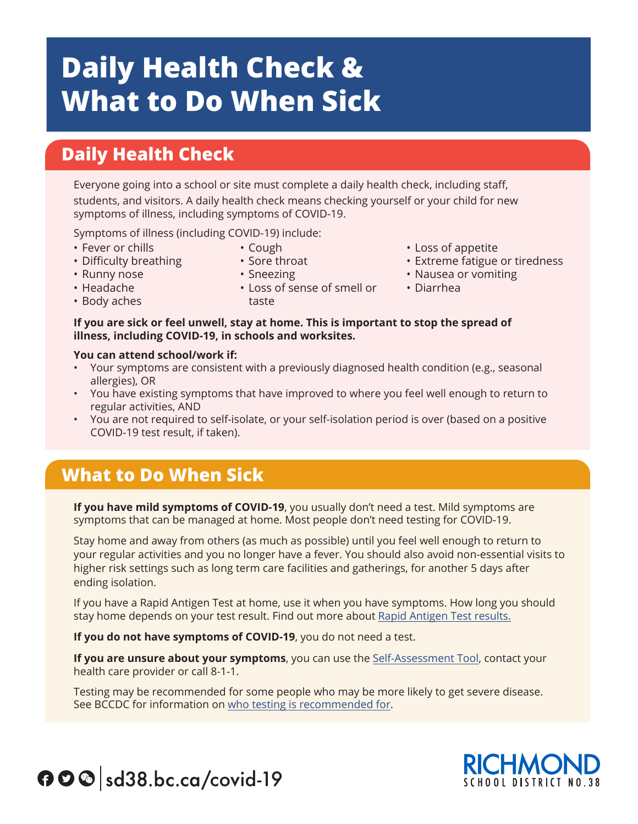# **Daily Health Check & What to Do When Sick**

### **Daily Health Check**

Everyone going into a school or site must complete a daily health check, including staff, students, and visitors. A daily health check means checking yourself or your child for new symptoms of illness, including symptoms of COVID-19.

Symptoms of illness (including COVID-19) include:

- Fever or chills
- Cough
- Difficulty breathing
- Runny nose
- Sore throat • Sneezing

taste

• Headache

- Loss of sense of smell or
- Loss of appetite
- Extreme fatigue or tiredness
- Nausea or vomiting
- Diarrhea
- Body aches
- **If you are sick or feel unwell, stay at home. This is important to stop the spread of illness, including COVID-19, in schools and worksites.**

#### **You can attend school/work if:**

- Your symptoms are consistent with a previously diagnosed health condition (e.g., seasonal allergies), OR
- You have existing symptoms that have improved to where you feel well enough to return to regular activities, AND
- You are not required to self-isolate, or your self-isolation period is over (based on a positive COVID-19 test result, if taken).

#### **What to Do When Sick**

**If you have mild symptoms of COVID-19**, you usually don't need a test. Mild symptoms are symptoms that can be managed at home. Most people don't need testing for COVID-19.

Stay home and away from others (as much as possible) until you feel well enough to return to your regular activities and you no longer have a fever. You should also avoid non-essential visits to higher risk settings such as long term care facilities and gatherings, for another 5 days after ending isolation.

If you have a Rapid Antigen Test at home, use it when you have symptoms. How long you should stay home depends on your test result. Find out more about Rapid Antigen Test results.

**If you do not have symptoms of COVID-19**, you do not need a test.

**If you are unsure about your symptoms**, you can use the Self-Assessment Tool, contact your health care provider or call 8-1-1.

Testing may be recommended for some people who may be more likely to get severe disease. See BCCDC for information on who testing is recommended for.



## $\bigcirc$   $\bigcirc$  sd38.bc.ca/covid-19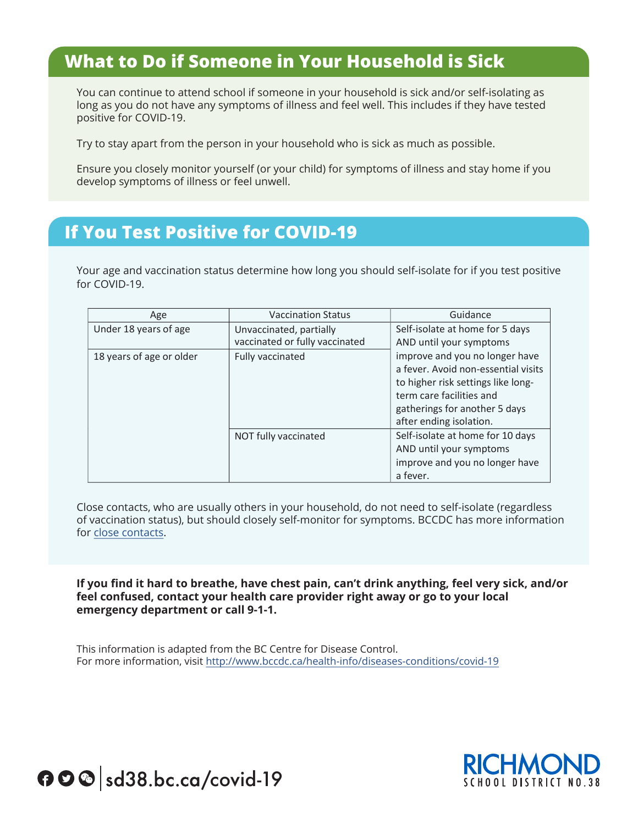#### **What to Do if Someone in Your Household is Sick**

You can continue to attend school if someone in your household is sick and/or self-isolating as long as you do not have any symptoms of illness and feel well. This includes if they have tested positive for COVID-19.

Try to stay apart from the person in your household who is sick as much as possible.

Ensure you closely monitor yourself (or your child) for symptoms of illness and stay home if you develop symptoms of illness or feel unwell.

#### **If You Test Positive for COVID-19**

Your age and vaccination status determine how long you should self-isolate for if you test positive for COVID-19.

| Age                      | <b>Vaccination Status</b>                                 | Guidance                                                                                                                                                                                            |
|--------------------------|-----------------------------------------------------------|-----------------------------------------------------------------------------------------------------------------------------------------------------------------------------------------------------|
| Under 18 years of age    | Unvaccinated, partially<br>vaccinated or fully vaccinated | Self-isolate at home for 5 days<br>AND until your symptoms                                                                                                                                          |
| 18 years of age or older | Fully vaccinated                                          | improve and you no longer have<br>a fever. Avoid non-essential visits<br>to higher risk settings like long-<br>term care facilities and<br>gatherings for another 5 days<br>after ending isolation. |
|                          | NOT fully vaccinated                                      | Self-isolate at home for 10 days<br>AND until your symptoms<br>improve and you no longer have<br>a fever.                                                                                           |

Close contacts, who are usually others in your household, do not need to self-isolate (regardless of vaccination status), but should closely self-monitor for symptoms. BCCDC has more information for close contacts.

**If you find it hard to breathe, have chest pain, can't drink anything, feel very sick, and/or**  2 **feel confused, contact your health care provider right away or go to your local emergency department or call 9-1-1.**

This information is adapted from the BC Centre for Disease Control. For more information, visit http://www.bccdc.ca/health-info/diseases-conditions/covid-19



 $\bigcirc$   $\bigcirc$  sd38.bc.ca/covid-19